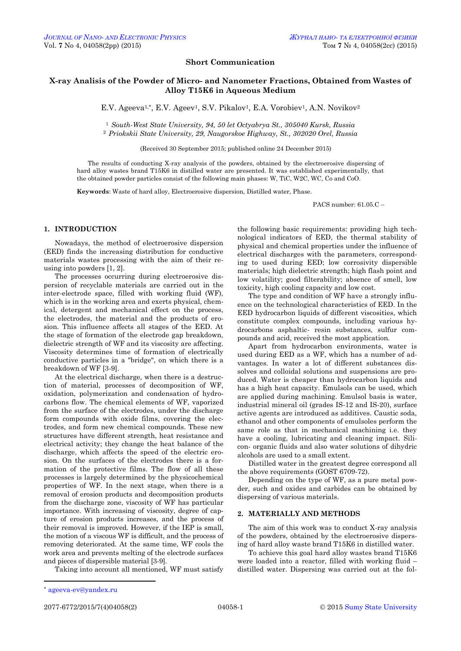## **Short Communication**

# **X-ray Analisis of the Powder of Micro- and Nanometer Fractions, Obtained from Wastes of Alloy T15K6 in Aqueous Medium**

E.V. Ageeva<sup>1,\*</sup>, E.V. Ageev<sup>1</sup>, S.V. Pikalov<sup>1</sup>, E.A. Vorobiev<sup>1</sup>, A.N. Novikov<sup>2</sup>

<sup>1</sup> *South-West State University, 94, 50 let Octyabrya St., 305040 Kursk, Russia* <sup>2</sup> *Priokskii State University, 29, Naugorskoe Highway, St., 302020 Orel, Russia*

(Received 30 September 2015; published online 24 December 2015)

The results of conducting X-ray analysis of the powders, obtained by the electroerosive dispersing of hard alloy wastes brand T15K6 in distilled water are presented. It was established experimentally, that the obtained powder particles consist of the following main phases: W, TiC, W2C, WC, Co and CoO.

**Keywords**: Waste of hard alloy, Electroerosive dispersion, Distilled water, Phase.

PACS number: 61.05.C –

#### **1. INTRODUCTION**

Nowadays, the method of electroerosive dispersion (EED) finds the increasing distribution for conductive materials wastes processing with the aim of their reusing into powders [1, 2].

The processes occurring during electroerosive dispersion of recyclable materials are carried out in the inter-electrode space, filled with working fluid (WF), which is in the working area and exerts physical, chemical, detergent and mechanical effect on the process, the electrodes, the material and the products of erosion. This influence affects all stages of the EED. At the stage of formation of the electrode gap breakdown, dielectric strength of WF and its viscosity are affecting. Viscosity determines time of formation of electrically conductive particles in a "bridge", on which there is a breakdown of WF [3-9].

At the electrical discharge, when there is a destruction of material, processes of decomposition of WF, oxidation, polymerization and condensation of hydrocarbons flow. The chemical elements of WF, vaporized from the surface of the electrodes, under the discharge form compounds with oxide films, covering the electrodes, and form new chemical compounds. These new structures have different strength, heat resistance and electrical activity; they change the heat balance of the discharge, which affects the speed of the electric erosion. On the surfaces of the electrodes there is a formation of the protective films. The flow of all these processes is largely determined by the physicochemical properties of WF. In the next stage, when there is a removal of erosion products and decomposition products from the discharge zone, viscosity of WF has particular importance. With increasing of viscosity, degree of capture of erosion products increases, and the process of their removal is improved. However, if the IEP is small, the motion of a viscous WF is difficult, and the process of removing deteriorated. At the same time, WF cools the work area and prevents melting of the electrode surfaces and pieces of dispersible material [3-9].

Taking into account all mentioned, WF must satisfy

the following basic requirements: providing high technological indicators of EED, the thermal stability of physical and chemical properties under the influence of electrical discharges with the parameters, corresponding to used during EED; low corrosivity dispersible materials; high dielectric strength; high flash point and low volatility; good filterability; absence of smell, low toxicity, high cooling capacity and low cost.

The type and condition of WF have a strongly influence on the technological characteristics of EED. In the EED hydrocarbon liquids of different viscosities, which constitute complex compounds, including various hydrocarbons asphaltic- resin substances, sulfur compounds and acid, received the most application.

Apart from hydrocarbon environments, water is used during EED as a WF, which has a number of advantages. In water a lot of different substances dissolves and colloidal solutions and suspensions are produced. Water is cheaper than hydrocarbon liquids and has a high heat capacity. Emulsols can be used, which are applied during machining. Emulsol basis is water, industrial mineral oil (grades IS-12 and IS-20), surface active agents are introduced as additives. Caustic soda, ethanol and other components of emulsoles perform the same role as that in mechanical machining i.e. they have a cooling, lubricating and cleaning impact. Silicon- organic fluids and also water solutions of dihydric alcohols are used to a small extent.

Distilled water in the greatest degree correspond all the above requirements (GOST 6709-72).

Depending on the type of WF, as a pure metal powder, such and oxides and carbides can be obtained by dispersing of various materials.

### **2. MATERIALLY AND METHODS**

The aim of this work was to conduct X-ray analysis of the powders, obtained by the electroerosive dispersing of hard alloy waste brand T15K6 in distilled water.

To achieve this goal hard alloy wastes brand T15K6 were loaded into a reactor, filled with working fluid – distilled water. Dispersing was carried out at the fol-

**.** 

<span id="page-0-3"></span><span id="page-0-2"></span><span id="page-0-1"></span><span id="page-0-0"></span>

<sup>\*</sup> ageevа[-ev@yandex.ru](mailto:ageevа-ev@yandex.ru)